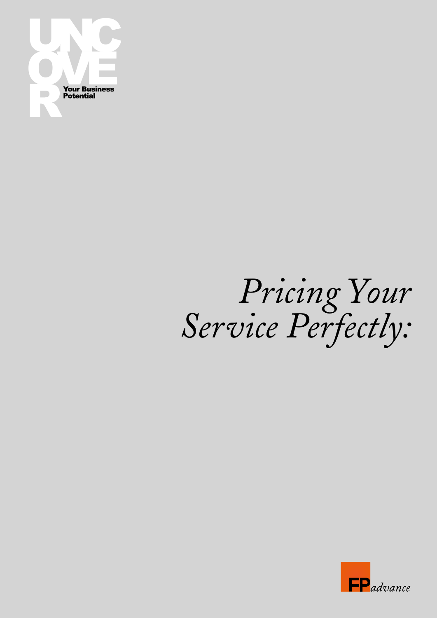

## Pricing Your<br>Service Perfectly:

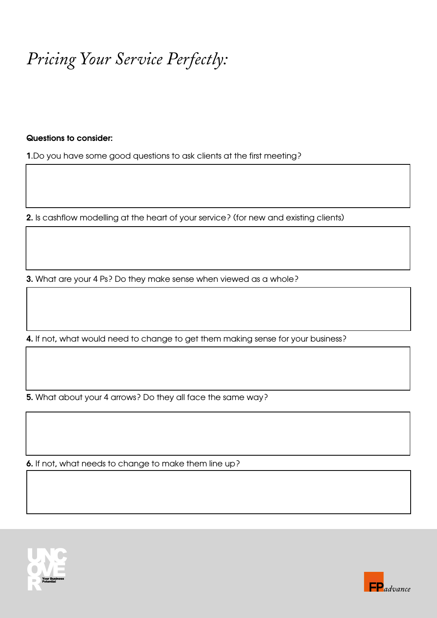*Pricing Your Service Perfectly:*

## Questions to consider:

1.Do you have some good questions to ask clients at the first meeting?

2. Is cashflow modelling at the heart of your service? (for new and existing clients)

3. What are your 4 Ps? Do they make sense when viewed as a whole?

4. If not, what would need to change to get them making sense for your business?

5. What about your 4 arrows? Do they all face the same way?

6. If not, what needs to change to make them line up?